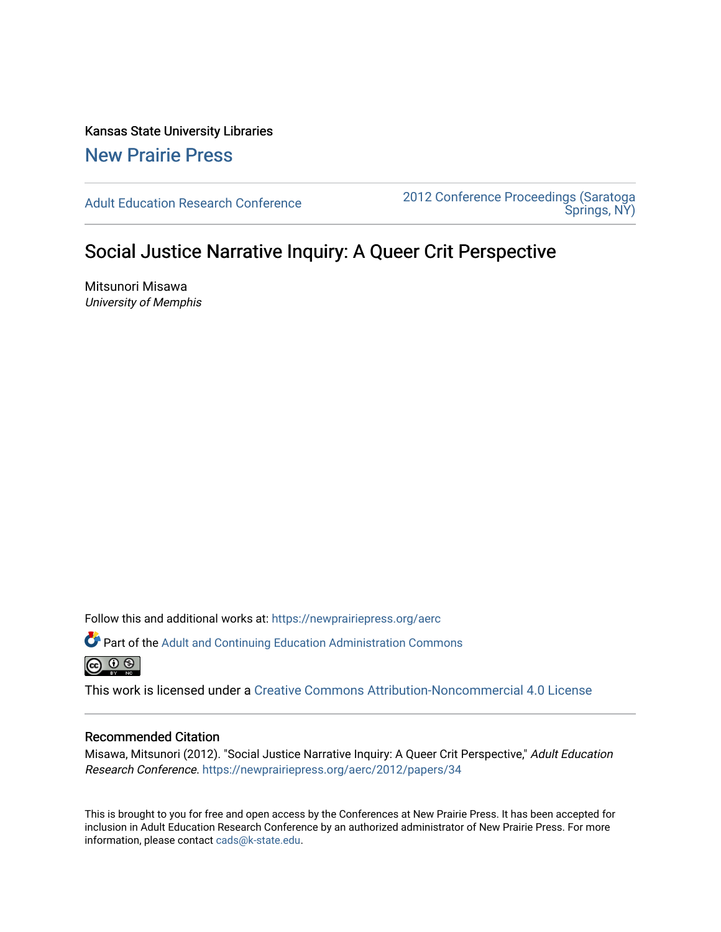Kansas State University Libraries [New Prairie Press](https://newprairiepress.org/) 

[Adult Education Research Conference](https://newprairiepress.org/aerc) [2012 Conference Proceedings \(Saratoga](https://newprairiepress.org/aerc/2012)  [Springs, NY\)](https://newprairiepress.org/aerc/2012) 

# Social Justice Narrative Inquiry: A Queer Crit Perspective

Mitsunori Misawa University of Memphis

Follow this and additional works at: [https://newprairiepress.org/aerc](https://newprairiepress.org/aerc?utm_source=newprairiepress.org%2Faerc%2F2012%2Fpapers%2F34&utm_medium=PDF&utm_campaign=PDFCoverPages)

Part of the [Adult and Continuing Education Administration Commons](http://network.bepress.com/hgg/discipline/789?utm_source=newprairiepress.org%2Faerc%2F2012%2Fpapers%2F34&utm_medium=PDF&utm_campaign=PDFCoverPages) 

This work is licensed under a [Creative Commons Attribution-Noncommercial 4.0 License](https://creativecommons.org/licenses/by-nc/4.0/)

#### Recommended Citation

Misawa, Mitsunori (2012). "Social Justice Narrative Inquiry: A Queer Crit Perspective," Adult Education Research Conference. <https://newprairiepress.org/aerc/2012/papers/34>

This is brought to you for free and open access by the Conferences at New Prairie Press. It has been accepted for inclusion in Adult Education Research Conference by an authorized administrator of New Prairie Press. For more information, please contact [cads@k-state.edu](mailto:cads@k-state.edu).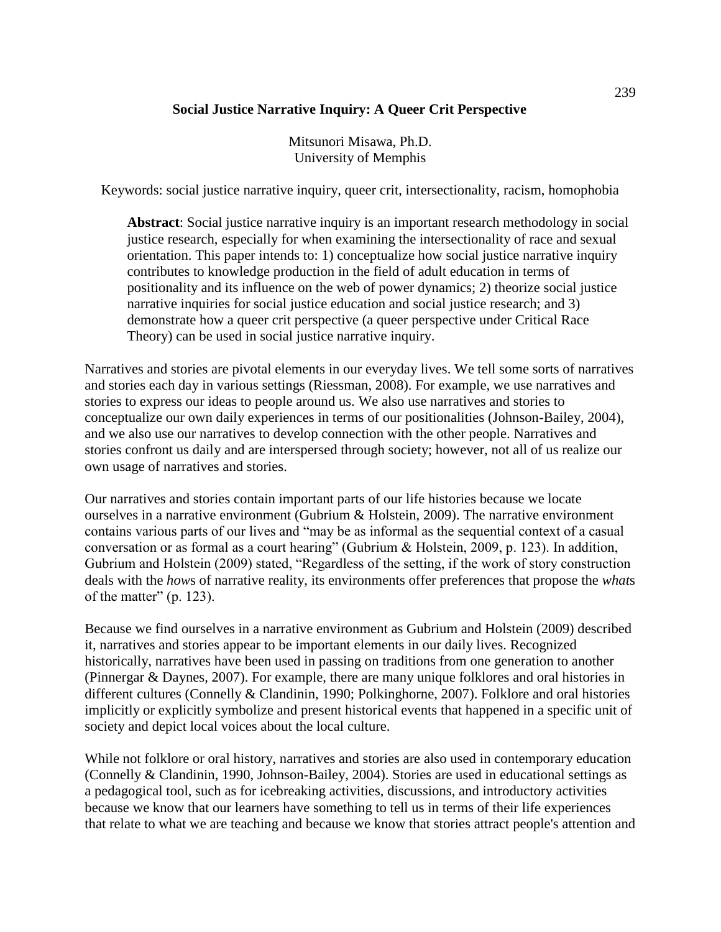## **Social Justice Narrative Inquiry: A Queer Crit Perspective**

Mitsunori Misawa, Ph.D. University of Memphis

Keywords: social justice narrative inquiry, queer crit, intersectionality, racism, homophobia

**Abstract**: Social justice narrative inquiry is an important research methodology in social justice research, especially for when examining the intersectionality of race and sexual orientation. This paper intends to: 1) conceptualize how social justice narrative inquiry contributes to knowledge production in the field of adult education in terms of positionality and its influence on the web of power dynamics; 2) theorize social justice narrative inquiries for social justice education and social justice research; and 3) demonstrate how a queer crit perspective (a queer perspective under Critical Race Theory) can be used in social justice narrative inquiry.

Narratives and stories are pivotal elements in our everyday lives. We tell some sorts of narratives and stories each day in various settings (Riessman, 2008). For example, we use narratives and stories to express our ideas to people around us. We also use narratives and stories to conceptualize our own daily experiences in terms of our positionalities (Johnson-Bailey, 2004), and we also use our narratives to develop connection with the other people. Narratives and stories confront us daily and are interspersed through society; however, not all of us realize our own usage of narratives and stories.

Our narratives and stories contain important parts of our life histories because we locate ourselves in a narrative environment (Gubrium & Holstein, 2009). The narrative environment contains various parts of our lives and "may be as informal as the sequential context of a casual conversation or as formal as a court hearing" (Gubrium & Holstein, 2009, p. 123). In addition, Gubrium and Holstein (2009) stated, "Regardless of the setting, if the work of story construction deals with the *how*s of narrative reality, its environments offer preferences that propose the *what*s of the matter"  $(p. 123)$ .

Because we find ourselves in a narrative environment as Gubrium and Holstein (2009) described it, narratives and stories appear to be important elements in our daily lives. Recognized historically, narratives have been used in passing on traditions from one generation to another (Pinnergar & Daynes, 2007). For example, there are many unique folklores and oral histories in different cultures (Connelly & Clandinin, 1990; Polkinghorne, 2007). Folklore and oral histories implicitly or explicitly symbolize and present historical events that happened in a specific unit of society and depict local voices about the local culture.

While not folklore or oral history, narratives and stories are also used in contemporary education (Connelly & Clandinin, 1990, Johnson-Bailey, 2004). Stories are used in educational settings as a pedagogical tool, such as for icebreaking activities, discussions, and introductory activities because we know that our learners have something to tell us in terms of their life experiences that relate to what we are teaching and because we know that stories attract people's attention and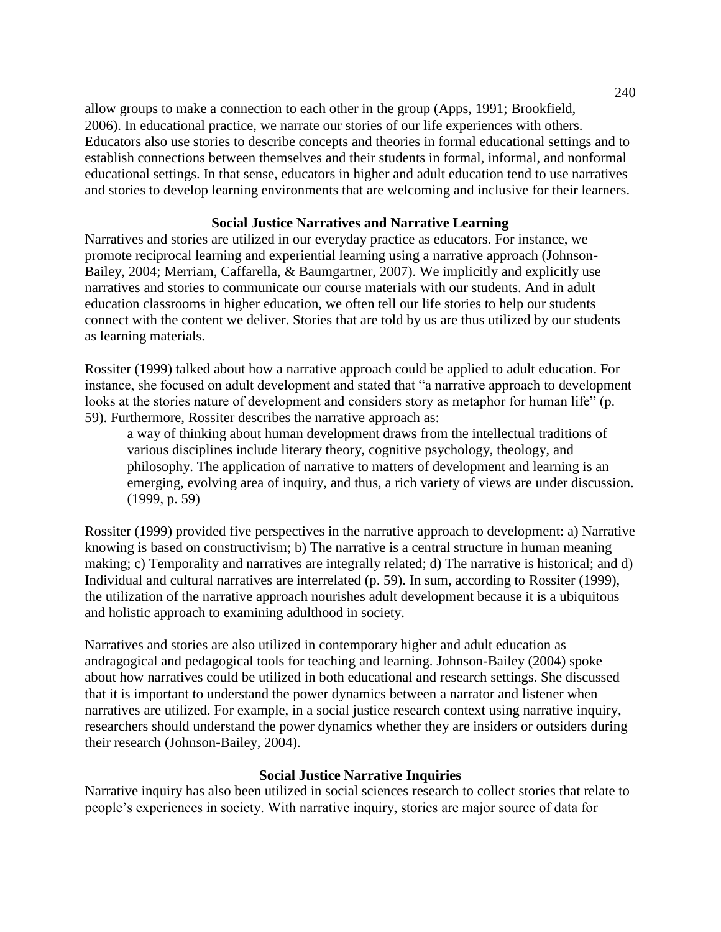allow groups to make a connection to each other in the group (Apps, 1991; Brookfield, 2006). In educational practice, we narrate our stories of our life experiences with others. Educators also use stories to describe concepts and theories in formal educational settings and to establish connections between themselves and their students in formal, informal, and nonformal educational settings. In that sense, educators in higher and adult education tend to use narratives and stories to develop learning environments that are welcoming and inclusive for their learners.

### **Social Justice Narratives and Narrative Learning**

Narratives and stories are utilized in our everyday practice as educators. For instance, we promote reciprocal learning and experiential learning using a narrative approach (Johnson-Bailey, 2004; Merriam, Caffarella, & Baumgartner, 2007). We implicitly and explicitly use narratives and stories to communicate our course materials with our students. And in adult education classrooms in higher education, we often tell our life stories to help our students connect with the content we deliver. Stories that are told by us are thus utilized by our students as learning materials.

Rossiter (1999) talked about how a narrative approach could be applied to adult education. For instance, she focused on adult development and stated that "a narrative approach to development looks at the stories nature of development and considers story as metaphor for human life" (p. 59). Furthermore, Rossiter describes the narrative approach as:

a way of thinking about human development draws from the intellectual traditions of various disciplines include literary theory, cognitive psychology, theology, and philosophy. The application of narrative to matters of development and learning is an emerging, evolving area of inquiry, and thus, a rich variety of views are under discussion. (1999, p. 59)

Rossiter (1999) provided five perspectives in the narrative approach to development: a) Narrative knowing is based on constructivism; b) The narrative is a central structure in human meaning making; c) Temporality and narratives are integrally related; d) The narrative is historical; and d) Individual and cultural narratives are interrelated (p. 59). In sum, according to Rossiter (1999), the utilization of the narrative approach nourishes adult development because it is a ubiquitous and holistic approach to examining adulthood in society.

Narratives and stories are also utilized in contemporary higher and adult education as andragogical and pedagogical tools for teaching and learning. Johnson-Bailey (2004) spoke about how narratives could be utilized in both educational and research settings. She discussed that it is important to understand the power dynamics between a narrator and listener when narratives are utilized. For example, in a social justice research context using narrative inquiry, researchers should understand the power dynamics whether they are insiders or outsiders during their research (Johnson-Bailey, 2004).

## **Social Justice Narrative Inquiries**

Narrative inquiry has also been utilized in social sciences research to collect stories that relate to people's experiences in society. With narrative inquiry, stories are major source of data for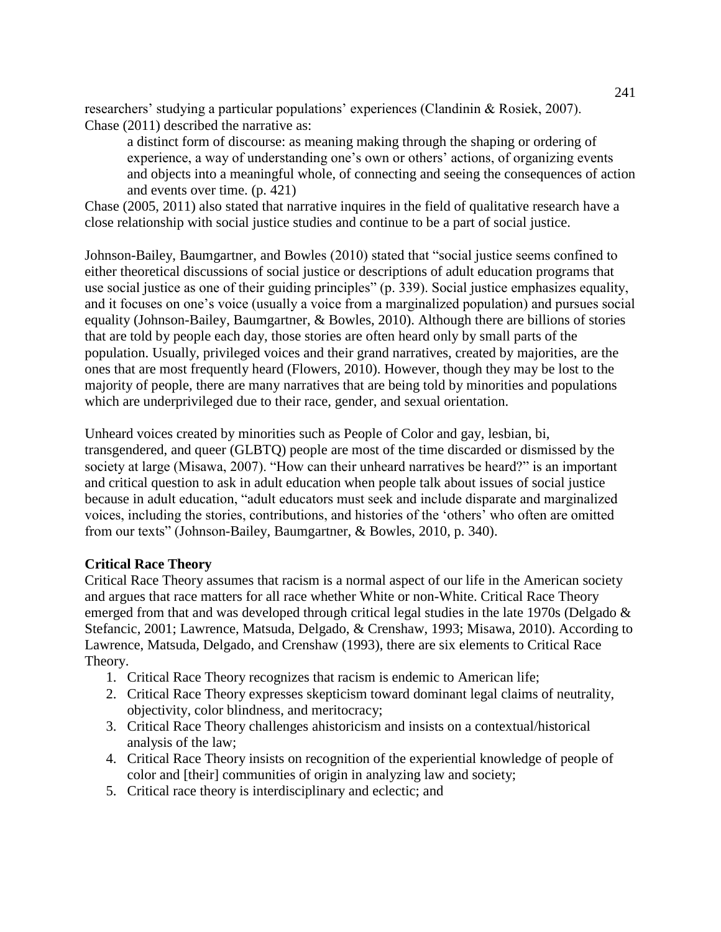researchers' studying a particular populations' experiences (Clandinin & Rosiek, 2007). Chase (2011) described the narrative as:

a distinct form of discourse: as meaning making through the shaping or ordering of experience, a way of understanding one's own or others' actions, of organizing events and objects into a meaningful whole, of connecting and seeing the consequences of action and events over time. (p. 421)

Chase (2005, 2011) also stated that narrative inquires in the field of qualitative research have a close relationship with social justice studies and continue to be a part of social justice.

Johnson-Bailey, Baumgartner, and Bowles (2010) stated that "social justice seems confined to either theoretical discussions of social justice or descriptions of adult education programs that use social justice as one of their guiding principles" (p. 339). Social justice emphasizes equality, and it focuses on one's voice (usually a voice from a marginalized population) and pursues social equality (Johnson-Bailey, Baumgartner, & Bowles, 2010). Although there are billions of stories that are told by people each day, those stories are often heard only by small parts of the population. Usually, privileged voices and their grand narratives, created by majorities, are the ones that are most frequently heard (Flowers, 2010). However, though they may be lost to the majority of people, there are many narratives that are being told by minorities and populations which are underprivileged due to their race, gender, and sexual orientation.

Unheard voices created by minorities such as People of Color and gay, lesbian, bi, transgendered, and queer (GLBTQ) people are most of the time discarded or dismissed by the society at large (Misawa, 2007). "How can their unheard narratives be heard?" is an important and critical question to ask in adult education when people talk about issues of social justice because in adult education, "adult educators must seek and include disparate and marginalized voices, including the stories, contributions, and histories of the 'others' who often are omitted from our texts" (Johnson-Bailey, Baumgartner, & Bowles, 2010, p. 340).

## **Critical Race Theory**

Critical Race Theory assumes that racism is a normal aspect of our life in the American society and argues that race matters for all race whether White or non-White. Critical Race Theory emerged from that and was developed through critical legal studies in the late 1970s (Delgado & Stefancic, 2001; Lawrence, Matsuda, Delgado, & Crenshaw, 1993; Misawa, 2010). According to Lawrence, Matsuda, Delgado, and Crenshaw (1993), there are six elements to Critical Race Theory.

- 1. Critical Race Theory recognizes that racism is endemic to American life;
- 2. Critical Race Theory expresses skepticism toward dominant legal claims of neutrality, objectivity, color blindness, and meritocracy;
- 3. Critical Race Theory challenges ahistoricism and insists on a contextual/historical analysis of the law;
- 4. Critical Race Theory insists on recognition of the experiential knowledge of people of color and [their] communities of origin in analyzing law and society;
- 5. Critical race theory is interdisciplinary and eclectic; and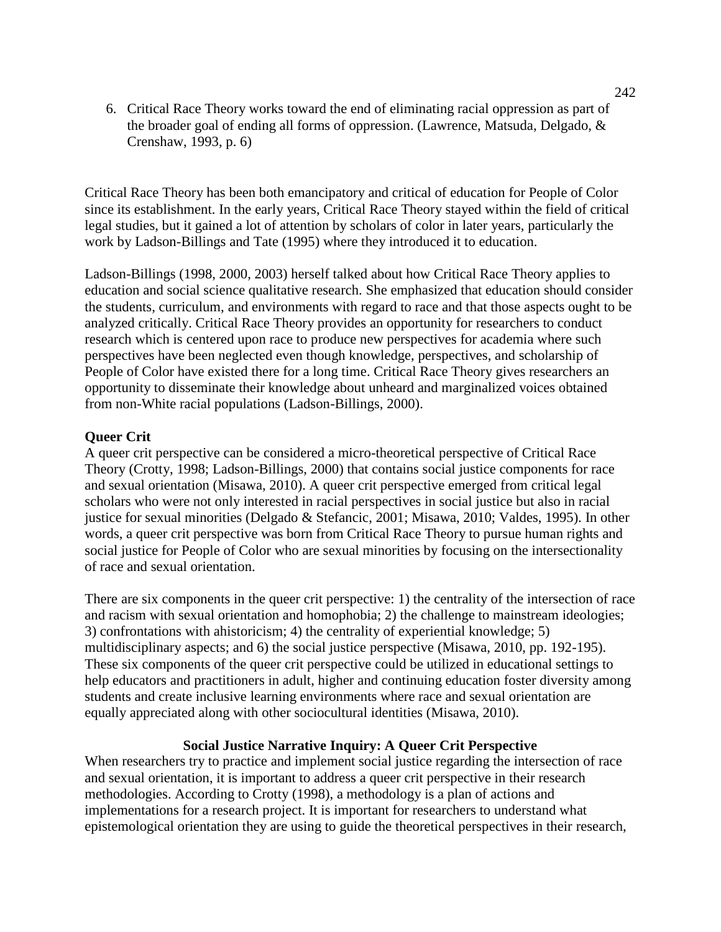6. Critical Race Theory works toward the end of eliminating racial oppression as part of the broader goal of ending all forms of oppression. (Lawrence, Matsuda, Delgado, & Crenshaw, 1993, p. 6)

Critical Race Theory has been both emancipatory and critical of education for People of Color since its establishment. In the early years, Critical Race Theory stayed within the field of critical legal studies, but it gained a lot of attention by scholars of color in later years, particularly the work by Ladson-Billings and Tate (1995) where they introduced it to education.

Ladson-Billings (1998, 2000, 2003) herself talked about how Critical Race Theory applies to education and social science qualitative research. She emphasized that education should consider the students, curriculum, and environments with regard to race and that those aspects ought to be analyzed critically. Critical Race Theory provides an opportunity for researchers to conduct research which is centered upon race to produce new perspectives for academia where such perspectives have been neglected even though knowledge, perspectives, and scholarship of People of Color have existed there for a long time. Critical Race Theory gives researchers an opportunity to disseminate their knowledge about unheard and marginalized voices obtained from non-White racial populations (Ladson-Billings, 2000).

### **Queer Crit**

A queer crit perspective can be considered a micro-theoretical perspective of Critical Race Theory (Crotty, 1998; Ladson-Billings, 2000) that contains social justice components for race and sexual orientation (Misawa, 2010). A queer crit perspective emerged from critical legal scholars who were not only interested in racial perspectives in social justice but also in racial justice for sexual minorities (Delgado & Stefancic, 2001; Misawa, 2010; Valdes, 1995). In other words, a queer crit perspective was born from Critical Race Theory to pursue human rights and social justice for People of Color who are sexual minorities by focusing on the intersectionality of race and sexual orientation.

There are six components in the queer crit perspective: 1) the centrality of the intersection of race and racism with sexual orientation and homophobia; 2) the challenge to mainstream ideologies; 3) confrontations with ahistoricism; 4) the centrality of experiential knowledge; 5) multidisciplinary aspects; and 6) the social justice perspective (Misawa, 2010, pp. 192-195). These six components of the queer crit perspective could be utilized in educational settings to help educators and practitioners in adult, higher and continuing education foster diversity among students and create inclusive learning environments where race and sexual orientation are equally appreciated along with other sociocultural identities (Misawa, 2010).

#### **Social Justice Narrative Inquiry: A Queer Crit Perspective**

When researchers try to practice and implement social justice regarding the intersection of race and sexual orientation, it is important to address a queer crit perspective in their research methodologies. According to Crotty (1998), a methodology is a plan of actions and implementations for a research project. It is important for researchers to understand what epistemological orientation they are using to guide the theoretical perspectives in their research,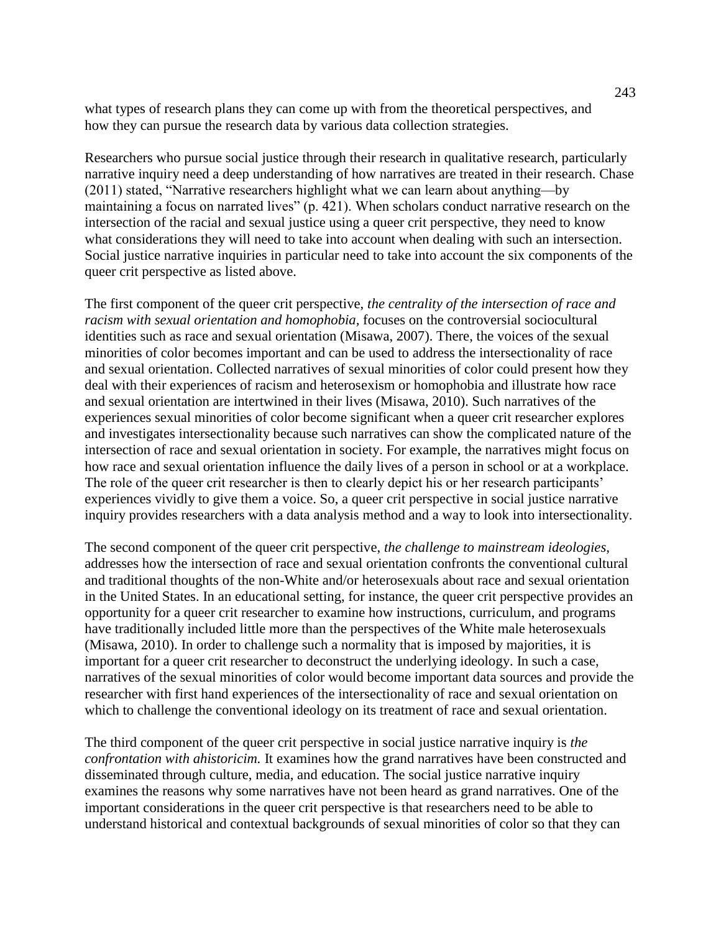what types of research plans they can come up with from the theoretical perspectives, and how they can pursue the research data by various data collection strategies.

Researchers who pursue social justice through their research in qualitative research, particularly narrative inquiry need a deep understanding of how narratives are treated in their research. Chase  $(2011)$  stated, "Narrative researchers highlight what we can learn about anything—by maintaining a focus on narrated lives"  $(p. 421)$ . When scholars conduct narrative research on the intersection of the racial and sexual justice using a queer crit perspective, they need to know what considerations they will need to take into account when dealing with such an intersection. Social justice narrative inquiries in particular need to take into account the six components of the queer crit perspective as listed above.

The first component of the queer crit perspective, *the centrality of the intersection of race and racism with sexual orientation and homophobia,* focuses on the controversial sociocultural identities such as race and sexual orientation (Misawa, 2007). There, the voices of the sexual minorities of color becomes important and can be used to address the intersectionality of race and sexual orientation. Collected narratives of sexual minorities of color could present how they deal with their experiences of racism and heterosexism or homophobia and illustrate how race and sexual orientation are intertwined in their lives (Misawa, 2010). Such narratives of the experiences sexual minorities of color become significant when a queer crit researcher explores and investigates intersectionality because such narratives can show the complicated nature of the intersection of race and sexual orientation in society. For example, the narratives might focus on how race and sexual orientation influence the daily lives of a person in school or at a workplace. The role of the queer crit researcher is then to clearly depict his or her research participants' experiences vividly to give them a voice. So, a queer crit perspective in social justice narrative inquiry provides researchers with a data analysis method and a way to look into intersectionality.

The second component of the queer crit perspective, *the challenge to mainstream ideologies,* addresses how the intersection of race and sexual orientation confronts the conventional cultural and traditional thoughts of the non-White and/or heterosexuals about race and sexual orientation in the United States. In an educational setting, for instance, the queer crit perspective provides an opportunity for a queer crit researcher to examine how instructions, curriculum, and programs have traditionally included little more than the perspectives of the White male heterosexuals (Misawa, 2010). In order to challenge such a normality that is imposed by majorities, it is important for a queer crit researcher to deconstruct the underlying ideology. In such a case, narratives of the sexual minorities of color would become important data sources and provide the researcher with first hand experiences of the intersectionality of race and sexual orientation on which to challenge the conventional ideology on its treatment of race and sexual orientation.

The third component of the queer crit perspective in social justice narrative inquiry is *the confrontation with ahistoricim.* It examines how the grand narratives have been constructed and disseminated through culture, media, and education. The social justice narrative inquiry examines the reasons why some narratives have not been heard as grand narratives. One of the important considerations in the queer crit perspective is that researchers need to be able to understand historical and contextual backgrounds of sexual minorities of color so that they can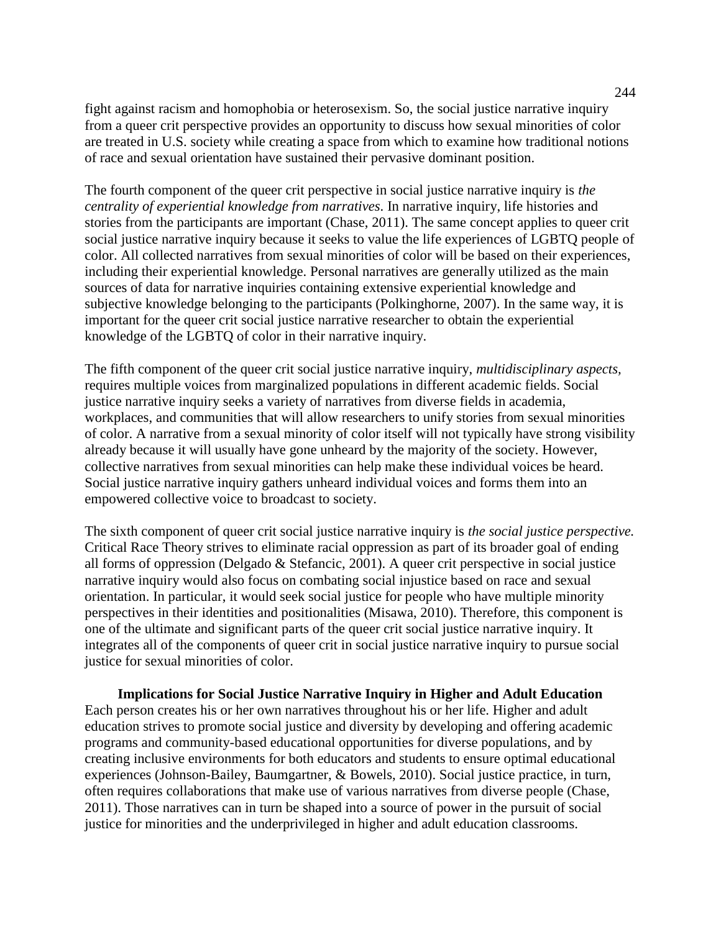fight against racism and homophobia or heterosexism. So, the social justice narrative inquiry from a queer crit perspective provides an opportunity to discuss how sexual minorities of color are treated in U.S. society while creating a space from which to examine how traditional notions of race and sexual orientation have sustained their pervasive dominant position.

The fourth component of the queer crit perspective in social justice narrative inquiry is *the centrality of experiential knowledge from narratives*. In narrative inquiry, life histories and stories from the participants are important (Chase, 2011). The same concept applies to queer crit social justice narrative inquiry because it seeks to value the life experiences of LGBTQ people of color. All collected narratives from sexual minorities of color will be based on their experiences, including their experiential knowledge. Personal narratives are generally utilized as the main sources of data for narrative inquiries containing extensive experiential knowledge and subjective knowledge belonging to the participants (Polkinghorne, 2007). In the same way, it is important for the queer crit social justice narrative researcher to obtain the experiential knowledge of the LGBTQ of color in their narrative inquiry.

The fifth component of the queer crit social justice narrative inquiry, *multidisciplinary aspects,* requires multiple voices from marginalized populations in different academic fields. Social justice narrative inquiry seeks a variety of narratives from diverse fields in academia, workplaces, and communities that will allow researchers to unify stories from sexual minorities of color. A narrative from a sexual minority of color itself will not typically have strong visibility already because it will usually have gone unheard by the majority of the society. However, collective narratives from sexual minorities can help make these individual voices be heard. Social justice narrative inquiry gathers unheard individual voices and forms them into an empowered collective voice to broadcast to society.

The sixth component of queer crit social justice narrative inquiry is *the social justice perspective.* Critical Race Theory strives to eliminate racial oppression as part of its broader goal of ending all forms of oppression (Delgado & Stefancic, 2001). A queer crit perspective in social justice narrative inquiry would also focus on combating social injustice based on race and sexual orientation. In particular, it would seek social justice for people who have multiple minority perspectives in their identities and positionalities (Misawa, 2010). Therefore, this component is one of the ultimate and significant parts of the queer crit social justice narrative inquiry. It integrates all of the components of queer crit in social justice narrative inquiry to pursue social justice for sexual minorities of color.

**Implications for Social Justice Narrative Inquiry in Higher and Adult Education** Each person creates his or her own narratives throughout his or her life. Higher and adult education strives to promote social justice and diversity by developing and offering academic programs and community-based educational opportunities for diverse populations, and by creating inclusive environments for both educators and students to ensure optimal educational experiences (Johnson-Bailey, Baumgartner, & Bowels, 2010). Social justice practice, in turn, often requires collaborations that make use of various narratives from diverse people (Chase, 2011). Those narratives can in turn be shaped into a source of power in the pursuit of social justice for minorities and the underprivileged in higher and adult education classrooms.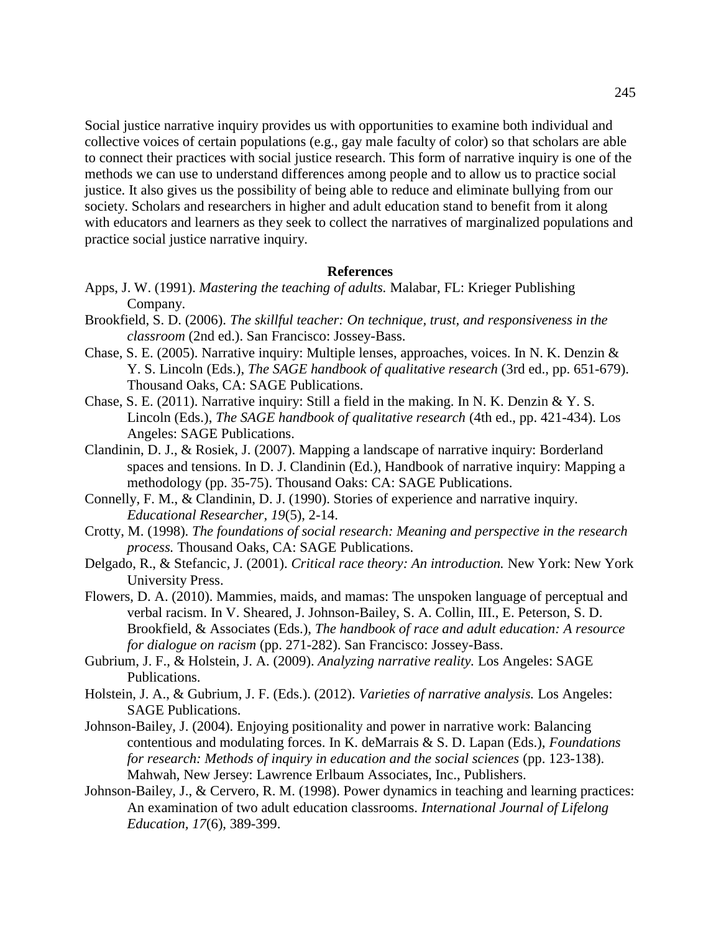Social justice narrative inquiry provides us with opportunities to examine both individual and collective voices of certain populations (e.g., gay male faculty of color) so that scholars are able to connect their practices with social justice research. This form of narrative inquiry is one of the methods we can use to understand differences among people and to allow us to practice social justice. It also gives us the possibility of being able to reduce and eliminate bullying from our society. Scholars and researchers in higher and adult education stand to benefit from it along with educators and learners as they seek to collect the narratives of marginalized populations and practice social justice narrative inquiry.

#### **References**

- Apps, J. W. (1991). *Mastering the teaching of adults.* Malabar, FL: Krieger Publishing Company.
- Brookfield, S. D. (2006). *The skillful teacher: On technique, trust, and responsiveness in the classroom* (2nd ed.). San Francisco: Jossey-Bass.
- Chase, S. E. (2005). Narrative inquiry: Multiple lenses, approaches, voices. In N. K. Denzin & Y. S. Lincoln (Eds.), *The SAGE handbook of qualitative research* (3rd ed., pp. 651-679). Thousand Oaks, CA: SAGE Publications.
- Chase, S. E. (2011). Narrative inquiry: Still a field in the making. In N. K. Denzin & Y. S. Lincoln (Eds.), *The SAGE handbook of qualitative research* (4th ed., pp. 421-434). Los Angeles: SAGE Publications.
- Clandinin, D. J., & Rosiek, J. (2007). Mapping a landscape of narrative inquiry: Borderland spaces and tensions. In D. J. Clandinin (Ed.), Handbook of narrative inquiry: Mapping a methodology (pp. 35-75). Thousand Oaks: CA: SAGE Publications.
- Connelly, F. M., & Clandinin, D. J. (1990). Stories of experience and narrative inquiry. *Educational Researcher, 19*(5), 2-14.
- Crotty, M. (1998). *The foundations of social research: Meaning and perspective in the research process.* Thousand Oaks, CA: SAGE Publications.
- Delgado, R., & Stefancic, J. (2001). *Critical race theory: An introduction.* New York: New York University Press.
- Flowers, D. A. (2010). Mammies, maids, and mamas: The unspoken language of perceptual and verbal racism. In V. Sheared, J. Johnson-Bailey, S. A. Collin, III., E. Peterson, S. D. Brookfield, & Associates (Eds.), *The handbook of race and adult education: A resource for dialogue on racism* (pp. 271-282). San Francisco: Jossey-Bass.
- Gubrium, J. F., & Holstein, J. A. (2009). *Analyzing narrative reality.* Los Angeles: SAGE Publications.
- Holstein, J. A., & Gubrium, J. F. (Eds.). (2012). *Varieties of narrative analysis.* Los Angeles: SAGE Publications.
- Johnson-Bailey, J. (2004). Enjoying positionality and power in narrative work: Balancing contentious and modulating forces. In K. deMarrais & S. D. Lapan (Eds.), *Foundations for research: Methods of inquiry in education and the social sciences (pp. 123-138).* Mahwah, New Jersey: Lawrence Erlbaum Associates, Inc., Publishers.
- Johnson-Bailey, J., & Cervero, R. M. (1998). Power dynamics in teaching and learning practices: An examination of two adult education classrooms. *International Journal of Lifelong Education, 17*(6), 389-399.